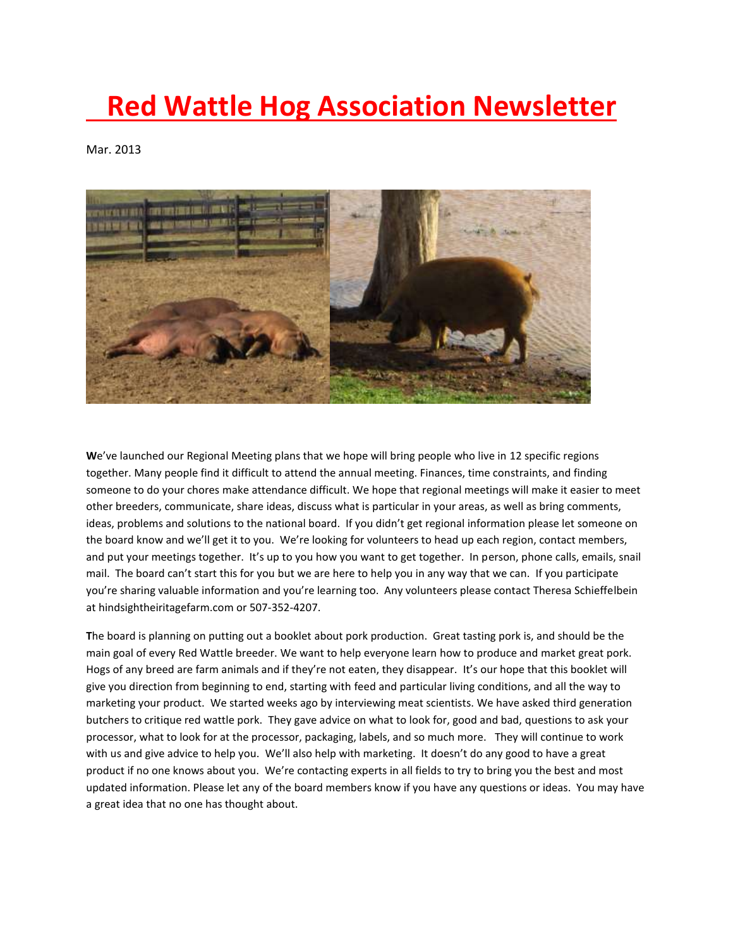## **Red Wattle Hog Association Newsletter**

Mar. 2013



**W**e've launched our Regional Meeting plans that we hope will bring people who live in 12 specific regions together. Many people find it difficult to attend the annual meeting. Finances, time constraints, and finding someone to do your chores make attendance difficult. We hope that regional meetings will make it easier to meet other breeders, communicate, share ideas, discuss what is particular in your areas, as well as bring comments, ideas, problems and solutions to the national board. If you didn't get regional information please let someone on the board know and we'll get it to you. We're looking for volunteers to head up each region, contact members, and put your meetings together. It's up to you how you want to get together. In person, phone calls, emails, snail mail. The board can't start this for you but we are here to help you in any way that we can. If you participate you're sharing valuable information and you're learning too. Any volunteers please contact Theresa Schieffelbein at hindsightheiritagefarm.com or 507-352-4207.

**T**he board is planning on putting out a booklet about pork production. Great tasting pork is, and should be the main goal of every Red Wattle breeder. We want to help everyone learn how to produce and market great pork. Hogs of any breed are farm animals and if they're not eaten, they disappear. It's our hope that this booklet will give you direction from beginning to end, starting with feed and particular living conditions, and all the way to marketing your product. We started weeks ago by interviewing meat scientists. We have asked third generation butchers to critique red wattle pork. They gave advice on what to look for, good and bad, questions to ask your processor, what to look for at the processor, packaging, labels, and so much more. They will continue to work with us and give advice to help you. We'll also help with marketing. It doesn't do any good to have a great product if no one knows about you. We're contacting experts in all fields to try to bring you the best and most updated information. Please let any of the board members know if you have any questions or ideas. You may have a great idea that no one has thought about.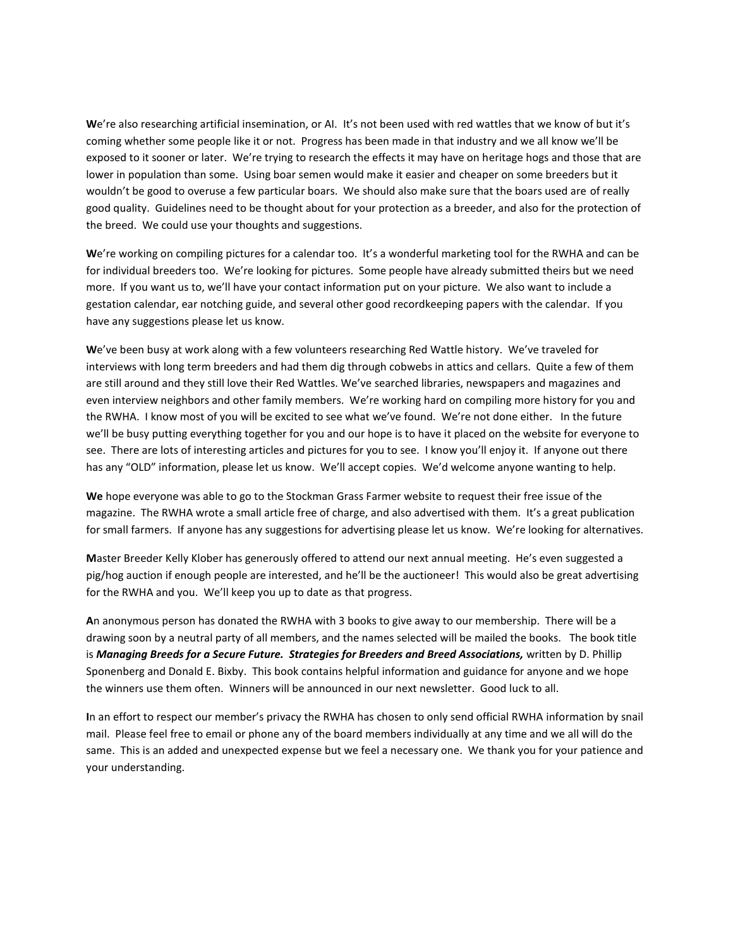**W**e're also researching artificial insemination, or AI. It's not been used with red wattles that we know of but it's coming whether some people like it or not. Progress has been made in that industry and we all know we'll be exposed to it sooner or later. We're trying to research the effects it may have on heritage hogs and those that are lower in population than some. Using boar semen would make it easier and cheaper on some breeders but it wouldn't be good to overuse a few particular boars. We should also make sure that the boars used are of really good quality. Guidelines need to be thought about for your protection as a breeder, and also for the protection of the breed. We could use your thoughts and suggestions.

**W**e're working on compiling pictures for a calendar too. It's a wonderful marketing tool for the RWHA and can be for individual breeders too. We're looking for pictures. Some people have already submitted theirs but we need more. If you want us to, we'll have your contact information put on your picture. We also want to include a gestation calendar, ear notching guide, and several other good recordkeeping papers with the calendar. If you have any suggestions please let us know.

**W**e've been busy at work along with a few volunteers researching Red Wattle history. We've traveled for interviews with long term breeders and had them dig through cobwebs in attics and cellars. Quite a few of them are still around and they still love their Red Wattles. We've searched libraries, newspapers and magazines and even interview neighbors and other family members. We're working hard on compiling more history for you and the RWHA. I know most of you will be excited to see what we've found. We're not done either. In the future we'll be busy putting everything together for you and our hope is to have it placed on the website for everyone to see. There are lots of interesting articles and pictures for you to see. I know you'll enjoy it. If anyone out there has any "OLD" information, please let us know. We'll accept copies. We'd welcome anyone wanting to help.

**We** hope everyone was able to go to the Stockman Grass Farmer website to request their free issue of the magazine. The RWHA wrote a small article free of charge, and also advertised with them. It's a great publication for small farmers. If anyone has any suggestions for advertising please let us know. We're looking for alternatives.

**M**aster Breeder Kelly Klober has generously offered to attend our next annual meeting. He's even suggested a pig/hog auction if enough people are interested, and he'll be the auctioneer! This would also be great advertising for the RWHA and you. We'll keep you up to date as that progress.

**A**n anonymous person has donated the RWHA with 3 books to give away to our membership. There will be a drawing soon by a neutral party of all members, and the names selected will be mailed the books. The book title is *Managing Breeds for a Secure Future. Strategies for Breeders and Breed Associations,* written by D. Phillip Sponenberg and Donald E. Bixby. This book contains helpful information and guidance for anyone and we hope the winners use them often. Winners will be announced in our next newsletter. Good luck to all.

**I**n an effort to respect our member's privacy the RWHA has chosen to only send official RWHA information by snail mail. Please feel free to email or phone any of the board members individually at any time and we all will do the same. This is an added and unexpected expense but we feel a necessary one. We thank you for your patience and your understanding.